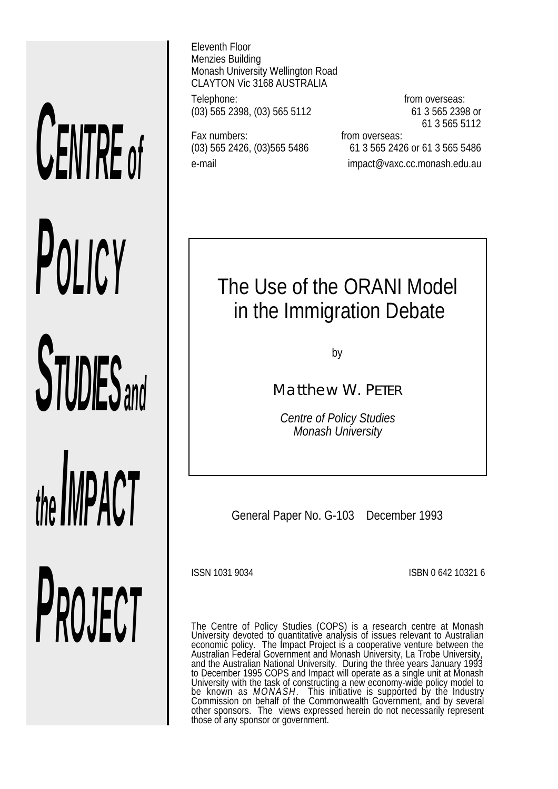# *CENTRE of POLICY STUDIES and the IMPACT PROJECT*

Eleventh Floor Menzies Building Monash University Wellington Road CLAYTON Vic 3168 AUSTRALIA

Telephone: **from overseas:** (03) 565 2398, (03) 565 5112 61 3 565 2398 or

Fax numbers: Fax numbers: From overseas:

61 3 565 5112

(03) 565 2426, (03)565 5486 61 3 565 2426 or 61 3 565 5486 e-mail impact@vaxc.cc.monash.edu.au

# The Use of the ORANI Model in the Immigration Debate

by

Matthew W. PETER

*Centre of Policy Studies Monash University*

General Paper No. G-103 December 1993

ISSN 1031 9034 ISBN 0 642 10321 6

The Centre of Policy Studies (COPS) is a research centre at Monash University devoted to quantitative analysis of issues relevant to Australian economic policy. The Impact Project is a cooperative venture between the Australian Federal Government and Monash University, La Trobe University, and the Australian National University. During the three years January 1993 to December 1995 COPS and Impact will operate as a single unit at Monash University with the task of constructing a new economy-wide policy model to be known as *MONASH*. This initiative is supported by the Industry<br>Commission on behalf of the Commonwealth Government, and by several other sponsors. The views expressed herein do not necessarily represent those of any sponsor or government.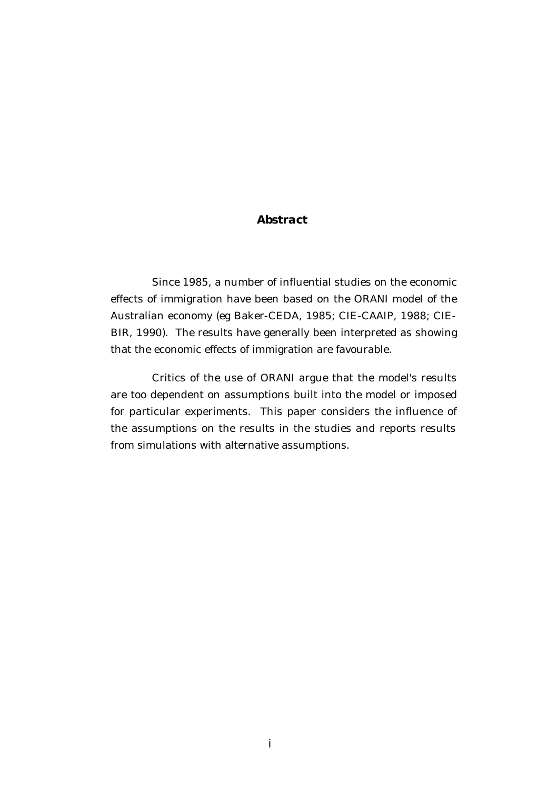#### *Abstract*

Since 1985, a number of influential studies on the economic effects of immigration have been based on the ORANI model of the Australian economy (eg Baker-CEDA, 1985; CIE-CAAIP, 1988; CIE-BIR, 1990). The results have generally been interpreted as showing that the economic effects of immigration are favourable.

Critics of the use of ORANI argue that the model's results are too dependent on assumptions built into the model or imposed for particular experiments. This paper considers the influence of the assumptions on the results in the studies and reports results from simulations with alternative assumptions.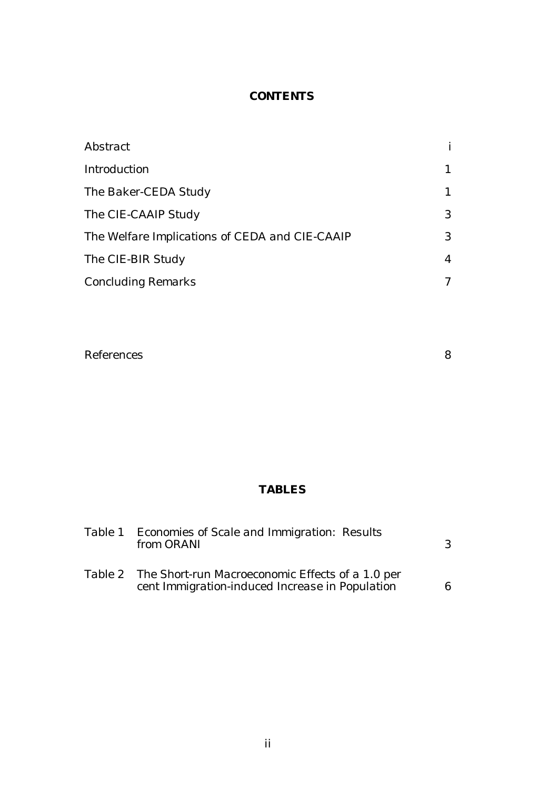## *CONTENTS*

| Abstract                                       |   |
|------------------------------------------------|---|
| <b>Introduction</b>                            |   |
| The Baker-CEDA Study                           |   |
| The CIE-CAAIP Study                            | 3 |
| The Welfare Implications of CEDA and CIE-CAAIP | 3 |
| The CIE-BIR Study                              | 4 |
| <b>Concluding Remarks</b>                      |   |

| <b>References</b> |  |
|-------------------|--|
|-------------------|--|

# *TABLES*

| Table 1 Economies of Scale and Immigration: Results<br>from ORANI                                           |  |
|-------------------------------------------------------------------------------------------------------------|--|
| Table 2 The Short-run Macroeconomic Effects of a 1.0 per<br>cent Immigration-induced Increase in Population |  |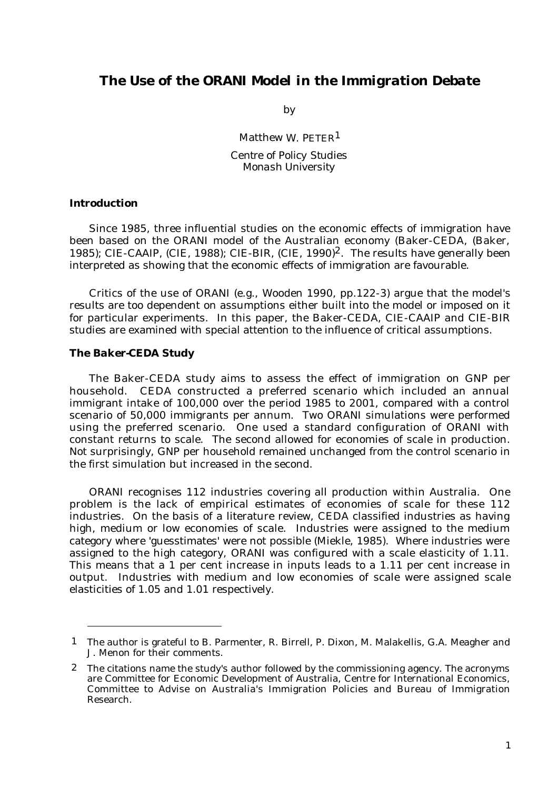### *The Use of the ORANI Model in the Immigration Debate*

by

Matthew W. PETER<sup>1</sup>

*Centre of Policy Studies Monash University*

#### *Introduction*

Since 1985, three influential studies on the economic effects of immigration have been based on the ORANI model of the Australian economy (Baker-CEDA, (Baker, 1985); CIE-CAAIP, (CIE, 1988); CIE-BIR, (CIE, 1990)2. The results have generally been interpreted as showing that the economic effects of immigration are favourable.

Critics of the use of ORANI (e.g., Wooden 1990, pp.122-3) argue that the model's results are too dependent on assumptions either built into the model or imposed on it for particular experiments. In this paper, the Baker-CEDA, CIE-CAAIP and CIE-BIR studies are examined with special attention to the influence of critical assumptions.

#### *The Baker-CEDA Study*

The Baker-CEDA study aims to assess the effect of immigration on GNP per household. CEDA constructed a preferred scenario which included an annual immigrant intake of 100,000 over the period 1985 to 2001, compared with a control scenario of 50,000 immigrants per annum. Two ORANI simulations were performed using the preferred scenario. One used a standard configuration of ORANI with constant returns to scale. The second allowed for economies of scale in production. Not surprisingly, GNP per household remained unchanged from the control scenario in the first simulation but increased in the second.

ORANI recognises 112 industries covering all production within Australia. One problem is the lack of empirical estimates of economies of scale for these 112 industries. On the basis of a literature review, CEDA classified industries as having high, medium or low economies of scale. Industries were assigned to the medium category where 'guesstimates' were not possible (Miekle, 1985). Where industries were assigned to the high category, ORANI was configured with a scale elasticity of 1.11. This means that a 1 per cent increase in inputs leads to a 1.11 per cent increase in output. Industries with medium and low economies of scale were assigned scale elasticities of 1.05 and 1.01 respectively.

<sup>1</sup> The author is grateful to B. Parmenter, R. Birrell, P. Dixon, M. Malakellis, G.A. Meagher and J. Menon for their comments.

<sup>2</sup> The citations name the study's author followed by the commissioning agency. The acronyms are Committee for Economic Development of Australia, Centre for International Economics, Committee to Advise on Australia's Immigration Policies and Bureau of Immigration Research.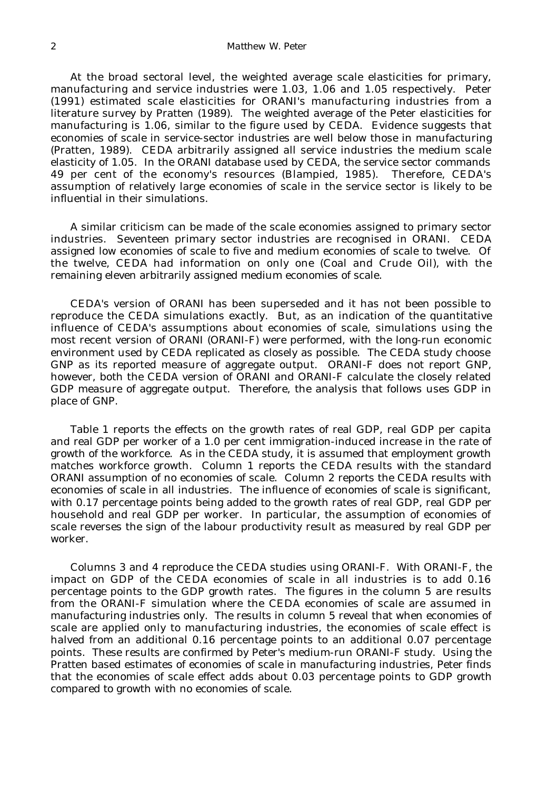#### 2 *Matthew W. Peter*

At the broad sectoral level, the weighted average scale elasticities for primary, manufacturing and service industries were 1.03, 1.06 and 1.05 respectively. Peter (1991) estimated scale elasticities for ORANI's manufacturing industries from a literature survey by Pratten (1989). The weighted average of the Peter elasticities for manufacturing is 1.06, similar to the figure used by CEDA. Evidence suggests that economies of scale in service-sector industries are well below those in manufacturing (Pratten, 1989). CEDA arbitrarily assigned all service industries the medium scale elasticity of 1.05. In the ORANI database used by CEDA, the service sector commands 49 per cent of the economy's resources (Blampied, 1985). Therefore, CEDA's assumption of relatively large economies of scale in the service sector is likely to be influential in their simulations.

A similar criticism can be made of the scale economies assigned to primary sector industries. Seventeen primary sector industries are recognised in ORANI. CEDA assigned low economies of scale to five and medium economies of scale to twelve. Of the twelve, CEDA had information on only one (Coal and Crude Oil), with the remaining eleven arbitrarily assigned medium economies of scale.

CEDA's version of ORANI has been superseded and it has not been possible to reproduce the CEDA simulations exactly. But, as an indication of the quantitative influence of CEDA's assumptions about economies of scale, simulations using the most recent version of ORANI (ORANI-F) were performed, with the long-run economic environment used by CEDA replicated as closely as possible. The CEDA study choose GNP as its reported measure of aggregate output. ORANI-F does not report GNP, however, both the CEDA version of ORANI and ORANI-F calculate the closely related GDP measure of aggregate output. Therefore, the analysis that follows uses GDP in place of GNP.

Table 1 reports the effects on the growth rates of real GDP, real GDP per capita and real GDP per worker of a 1.0 per cent immigration-induced increase in the rate of growth of the workforce. As in the CEDA study, it is assumed that employment growth matches workforce growth. Column 1 reports the CEDA results with the standard ORANI assumption of no economies of scale. Column 2 reports the CEDA results with economies of scale in all industries. The influence of economies of scale is significant, with 0.17 percentage points being added to the growth rates of real GDP, real GDP per household and real GDP per worker. In particular, the assumption of economies of scale reverses the sign of the labour productivity result as measured by real GDP per worker.

Columns 3 and 4 reproduce the CEDA studies using ORANI-F. With ORANI-F, the impact on GDP of the CEDA economies of scale in all industries is to add 0.16 percentage points to the GDP growth rates. The figures in the column 5 are results from the ORANI-F simulation where the CEDA economies of scale are assumed in manufacturing industries only. The results in column 5 reveal that when economies of scale are applied only to manufacturing industries, the economies of scale effect is halved from an additional 0.16 percentage points to an additional 0.07 percentage points. These results are confirmed by Peter's medium-run ORANI-F study. Using the Pratten based estimates of economies of scale in manufacturing industries, Peter finds that the economies of scale effect adds about 0.03 percentage points to GDP growth compared to growth with no economies of scale.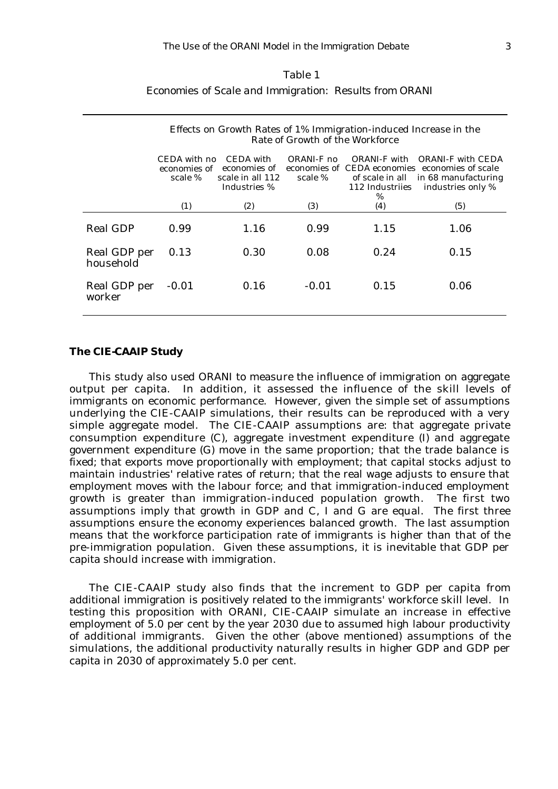#### Table 1

#### *Economies of Scale and Immigration: Results from ORANI*

|                           | Effects on Growth Rates of 1% Immigration-induced Increase in the<br>Rate of Growth of the Workforce |                                                               |                       |                 |                                                                                                                                              |  |  |
|---------------------------|------------------------------------------------------------------------------------------------------|---------------------------------------------------------------|-----------------------|-----------------|----------------------------------------------------------------------------------------------------------------------------------------------|--|--|
|                           | CEDA with no<br>economies of<br>scale %                                                              | CEDA with<br>economies of<br>scale in all 112<br>Industries % | ORANI-F no<br>scale % | 112 Industriies | ORANI-F with ORANI-F with CEDA<br>economies of CEDA economies economies of scale<br>of scale in all in 68 manufacturing<br>industries only % |  |  |
|                           | (1)                                                                                                  | (2)                                                           | (3)                   | $\%$<br>(4)     | (5)                                                                                                                                          |  |  |
| <b>Real GDP</b>           | 0.99                                                                                                 | 1.16                                                          | 0.99                  | 1.15            | 1.06                                                                                                                                         |  |  |
| Real GDP per<br>household | 0.13                                                                                                 | 0.30                                                          | 0.08                  | 0.24            | 0.15                                                                                                                                         |  |  |
| Real GDP per<br>worker    | $-0.01$                                                                                              | 0.16                                                          | $-0.01$               | 0.15            | 0.06                                                                                                                                         |  |  |

#### *The CIE-CAAIP Study*

This study also used ORANI to measure the influence of immigration on aggregate output per capita. In addition, it assessed the influence of the skill levels of immigrants on economic performance. However, given the simple set of assumptions underlying the CIE-CAAIP simulations, their results can be reproduced with a very simple aggregate model. The CIE-CAAIP assumptions are: that aggregate private consumption expenditure (C), aggregate investment expenditure (I) and aggregate government expenditure (G) move in the same proportion; that the trade balance is fixed; that exports move proportionally with employment; that capital stocks adjust to maintain industries' relative rates of return; that the real wage adjusts to ensure that employment moves with the labour force; and that immigration-induced employment growth is greater than immigration-induced population growth. The first two assumptions imply that growth in GDP and C, I and G are equal. The first three assumptions ensure the economy experiences balanced growth. The last assumption means that the workforce participation rate of immigrants is higher than that of the pre-immigration population. Given these assumptions, it is inevitable that GDP per capita should increase with immigration.

The CIE-CAAIP study also finds that the increment to GDP per capita from additional immigration is positively related to the immigrants' workforce skill level. In testing this proposition with ORANI, CIE-CAAIP simulate an increase in effective employment of 5.0 per cent by the year 2030 due to assumed high labour productivity of additional immigrants. Given the other (above mentioned) assumptions of the simulations, the additional productivity naturally results in higher GDP and GDP per capita in 2030 of approximately 5.0 per cent.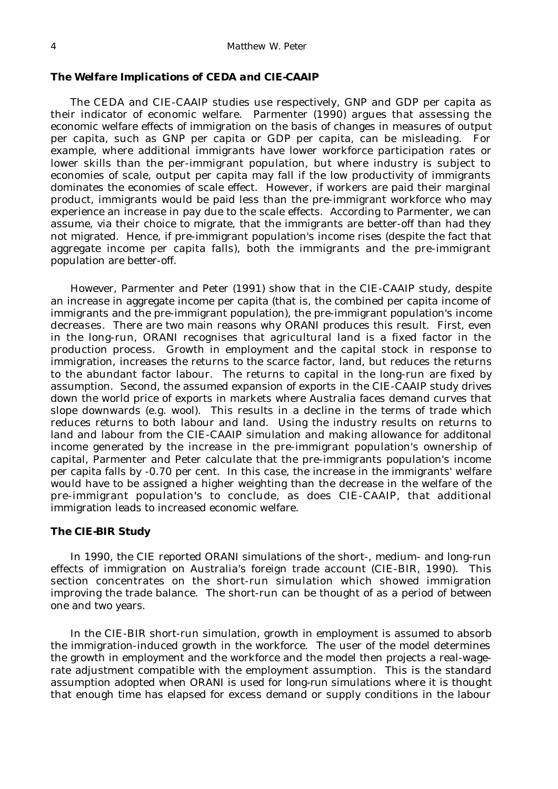#### *The Welfare Implications of CEDA and CIE-CAAIP*

The CEDA and CIE-CAAIP studies use respectively, GNP and GDP per capita as their indicator of economic welfare. Parmenter (1990) argues that assessing the economic welfare effects of immigration on the basis of changes in measures of output per capita, such as GNP per capita or GDP per capita, can be misleading. For example, where additional immigrants have lower workforce participation rates or lower skills than the per-immigrant population, but where industry is subject to economies of scale, output per capita may fall if the low productivity of immigrants dominates the economies of scale effect. However, if workers are paid their marginal product, immigrants would be paid less than the pre-immigrant workforce who may experience an increase in pay due to the scale effects. According to Parmenter, we can assume, via their choice to migrate, that the immigrants are better-off than had they not migrated. Hence, if pre-immigrant population's income rises (despite the fact that aggregate income per capita falls), both the immigrants and the pre-immigrant population are better-off.

However, Parmenter and Peter (1991) show that in the CIE-CAAIP study, despite an increase in aggregate income per capita (that is, the combined per capita income of immigrants and the pre-immigrant population), the pre-immigrant population's income *decreases*. There are two main reasons why ORANI produces this result. First, even in the long-run, ORANI recognises that agricultural land is a fixed factor in the production process. Growth in employment and the capital stock in response to immigration, increases the returns to the scarce factor, land, but reduces the returns to the abundant factor labour. The returns to capital in the long-run are fixed by assumption. Second, the assumed expansion of exports in the CIE-CAAIP study drives down the world price of exports in markets where Australia faces demand curves that slope downwards (e.g. wool). This results in a decline in the terms of trade which reduces returns to both labour and land. Using the industry results on returns to land and labour from the CIE-CAAIP simulation and making allowance for additonal income generated by the increase in the pre-immigrant population's ownership of capital, Parmenter and Peter calculate that the pre-immigrants population's income per capita falls by -0.70 per cent. In this case, the increase in the immigrants' welfare would have to be assigned a higher weighting than the decrease in the welfare of the pre-immigrant population's to conclude, as does CIE-CAAIP, that additional immigration leads to increased economic welfare.

#### *The CIE-BIR Study*

In 1990, the CIE reported ORANI simulations of the short-, medium- and long-run effects of immigration on Australia's foreign trade account (CIE-BIR, 1990). This section concentrates on the short-run simulation which showed immigration improving the trade balance. The short-run can be thought of as a period of between one and two years.

In the CIE-BIR short-run simulation, growth in employment is assumed to absorb the immigration-induced growth in the workforce. The user of the model determines the growth in employment and the workforce and the model then projects a real-wagerate adjustment compatible with the employment assumption. This is the standard assumption adopted when ORANI is used for *long-run* simulations where it is thought that enough time has elapsed for excess demand or supply conditions in the labour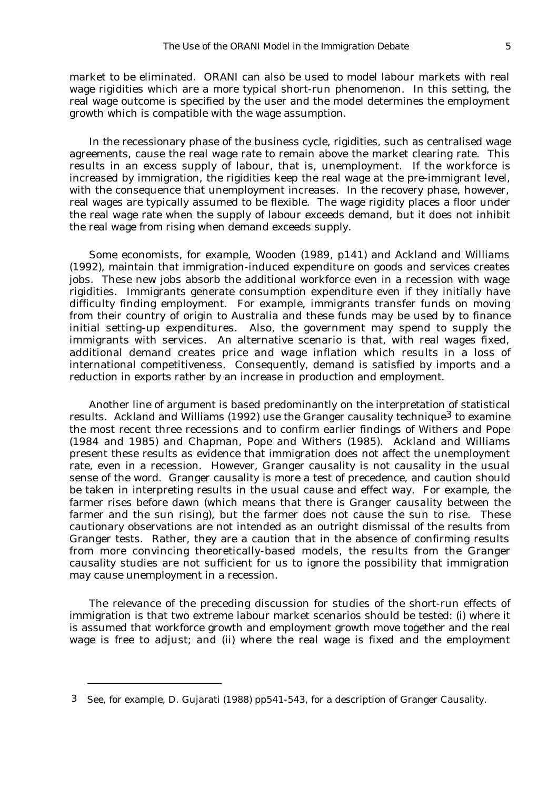market to be eliminated. ORANI can also be used to model labour markets with real wage rigidities which are a more typical short-run phenomenon. In this setting, the real wage outcome is specified by the user and the model determines the employment growth which is compatible with the wage assumption.

In the recessionary phase of the business cycle, rigidities, such as centralised wage agreements, cause the real wage rate to remain above the market clearing rate. This results in an excess supply of labour, that is, unemployment. If the workforce is increased by immigration, the rigidities keep the real wage at the pre-immigrant level, with the consequence that unemployment increases. In the recovery phase, however, real wages are typically assumed to be flexible. The wage rigidity places a floor under the real wage rate when the supply of labour exceeds demand, but it does not inhibit the real wage from rising when demand exceeds supply.

Some economists, for example, Wooden (1989, p141) and Ackland and Williams (1992), maintain that immigration-induced expenditure on goods and services creates jobs. These new jobs absorb the additional workforce even in a recession with wage rigidities. Immigrants generate consumption expenditure even if they initially have difficulty finding employment. For example, immigrants transfer funds on moving from their country of origin to Australia and these funds may be used by to finance initial setting-up expenditures. Also, the government may spend to supply the immigrants with services. An alternative scenario is that, with real wages fixed, additional demand creates price and wage inflation which results in a loss of international competitiveness. Consequently, demand is satisfied by imports and a reduction in exports rather by an increase in production and employment.

Another line of argument is based predominantly on the interpretation of statistical results. Ackland and Williams (1992) use the Granger causality technique<sup>3</sup> to examine the most recent three recessions and to confirm earlier findings of Withers and Pope (1984 and 1985) and Chapman, Pope and Withers (1985). Ackland and Williams present these results as evidence that immigration does not affect the unemployment rate, even in a recession. However, Granger causality is not causality in the usual sense of the word. Granger causality is more a test of precedence, and caution should be taken in interpreting results in the usual cause and effect way. For example, the farmer rises before dawn (which means that there is *Granger causality* between the farmer and the sun rising), but the farmer does not cause the sun to rise. These cautionary observations are not intended as an outright dismissal of the results from Granger tests. Rather, they are a caution that in the absence of confirming results from more convincing theoretically-based models, the results from the Granger causality studies are not sufficient for us to ignore the possibility that immigration may cause unemployment in a recession.

The relevance of the preceding discussion for studies of the short-run effects of immigration is that two extreme labour market scenarios should be tested: (i) where it is assumed that workforce growth and employment growth move together and the real wage is free to adjust; and (ii) where the real wage is fixed and the employment

<sup>3</sup> See, for example, D. Gujarati (1988) pp541-543, for a description of Granger Causality.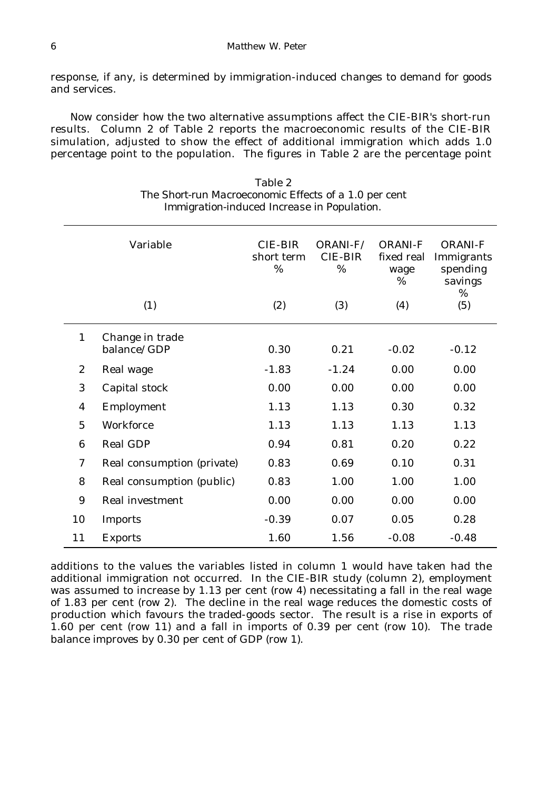response, if any, is determined by immigration-induced changes to demand for goods and services.

Now consider how the two alternative assumptions affect the CIE-BIR's short-run results. Column 2 of Table 2 reports the macroeconomic results of the CIE-BIR simulation, adjusted to show the effect of additional immigration which adds 1.0 percentage point to the population. The figures in Table 2 are the percentage point

|                  | Variable<br>(1)                | <b>CIE-BIR</b><br>short term<br>%<br>(2) | ORANI-F/<br><b>CIE-BIR</b><br>$\%$<br>(3) | <b>ORANI-F</b><br>fixed real<br>wage<br>%<br>(4) | <b>ORANI-F</b><br>Immigrants<br>spending<br>savings<br>%<br>(5) |
|------------------|--------------------------------|------------------------------------------|-------------------------------------------|--------------------------------------------------|-----------------------------------------------------------------|
|                  |                                |                                          |                                           |                                                  |                                                                 |
| $\mathbf{1}$     | Change in trade<br>balance/GDP | 0.30                                     | 0.21                                      | $-0.02$                                          | $-0.12$                                                         |
| $\boldsymbol{2}$ | Real wage                      | $-1.83$                                  | $-1.24$                                   | 0.00                                             | 0.00                                                            |
| 3                | Capital stock                  | 0.00                                     | 0.00                                      | 0.00                                             | 0.00                                                            |
| $\boldsymbol{4}$ | Employment                     | 1.13                                     | 1.13                                      | 0.30                                             | 0.32                                                            |
| $\overline{5}$   | Workforce                      | 1.13                                     | 1.13                                      | 1.13                                             | 1.13                                                            |
| 6                | <b>Real GDP</b>                | 0.94                                     | 0.81                                      | 0.20                                             | 0.22                                                            |
| $\boldsymbol{7}$ | Real consumption (private)     | 0.83                                     | 0.69                                      | 0.10                                             | 0.31                                                            |
| 8                | Real consumption (public)      | 0.83                                     | 1.00                                      | 1.00                                             | 1.00                                                            |
| 9                | <b>Real investment</b>         | 0.00                                     | 0.00                                      | 0.00                                             | 0.00                                                            |
| 10               | <b>Imports</b>                 | $-0.39$                                  | 0.07                                      | 0.05                                             | 0.28                                                            |
| 11               | <b>Exports</b>                 | 1.60                                     | 1.56                                      | $-0.08$                                          | $-0.48$                                                         |

Table 2 *The Short-run Macroeconomic Effects of a 1.0 per cent Immigration-induced Increase in Population.*

additions to the values the variables listed in column 1 would have taken had the additional immigration not occurred. In the CIE-BIR study (column 2), employment was assumed to increase by 1.13 per cent (row 4) necessitating a fall in the real wage of 1.83 per cent (row 2). The decline in the real wage reduces the domestic costs of production which favours the traded-goods sector. The result is a rise in exports of 1.60 per cent (row 11) and a fall in imports of 0.39 per cent (row 10). The trade balance improves by 0.30 per cent of GDP (row 1).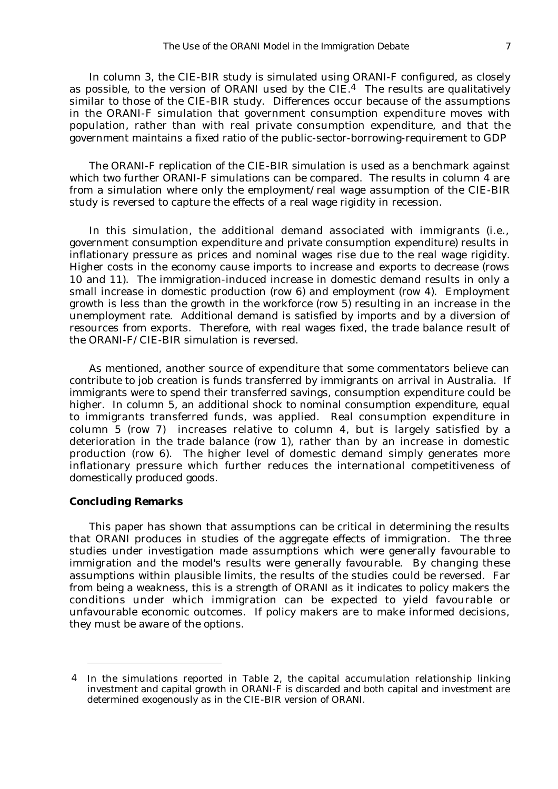In column 3, the CIE-BIR study is simulated using ORANI-F configured, as closely as possible, to the version of ORANI used by the  $CIE<sup>4</sup>$ . The results are qualitatively similar to those of the CIE-BIR study. Differences occur because of the assumptions in the ORANI-F simulation that government consumption expenditure moves with population, rather than with real private consumption expenditure, and that the government maintains a fixed ratio of the public-sector-borrowing-requirement to GDP

The ORANI-F replication of the CIE-BIR simulation is used as a benchmark against which two further ORANI-F simulations can be compared. The results in column 4 are from a simulation where only the employment/real wage assumption of the CIE-BIR study is reversed to capture the effects of a real wage rigidity in recession.

In this simulation, the additional demand associated with immigrants (i.e., government consumption expenditure and private consumption expenditure) results in inflationary pressure as prices and nominal wages rise due to the real wage rigidity. Higher costs in the economy cause imports to increase and exports to decrease (rows 10 and 11). The immigration-induced increase in domestic demand results in only a small increase in domestic production (row 6) and employment (row 4). Employment growth is less than the growth in the workforce (row 5) resulting in an increase in the unemployment rate. Additional demand is satisfied by imports and by a diversion of resources from exports. Therefore, with real wages fixed, the trade balance result of the ORANI-F/CIE-BIR simulation is reversed.

As mentioned, another source of expenditure that some commentators believe can contribute to job creation is funds transferred by immigrants on arrival in Australia. If immigrants were to spend their transferred savings, consumption expenditure could be higher. In column 5, an additional shock to nominal consumption expenditure, equal to immigrants transferred funds, was applied. Real consumption expenditure in column 5 (row 7) increases relative to column 4, but is largely satisfied by a deterioration in the trade balance (row 1), rather than by an increase in domestic production (row 6). The higher level of domestic demand simply generates more inflationary pressure which further reduces the international competitiveness of domestically produced goods.

#### *Concluding Remarks*

This paper has shown that assumptions can be critical in determining the results that ORANI produces in studies of the aggregate effects of immigration. The three studies under investigation made assumptions which were generally favourable to immigration and the model's results were generally favourable. By changing these assumptions within plausible limits, the results of the studies could be reversed. Far from being a weakness, this is a strength of ORANI as it indicates to policy makers the conditions under which immigration can be expected to yield favourable or unfavourable economic outcomes. If policy makers are to make informed decisions, they must be aware of the options.

<sup>4</sup> In the simulations reported in Table 2, the capital accumulation relationship linking investment and capital growth in ORANI-F is discarded and both capital and investment are determined exogenously as in the CIE-BIR version of ORANI.